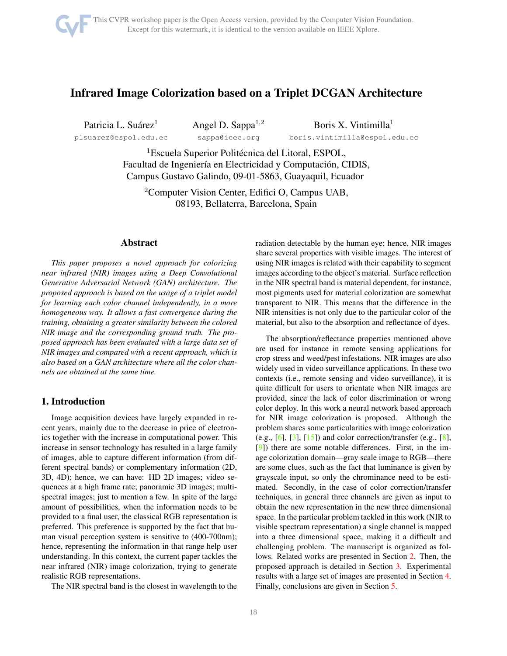# <span id="page-0-0"></span>Infrared Image Colorization based on a Triplet DCGAN Architecture

Patricia L. Suárez<sup>1</sup> plsuarez@espol.edu.ec Angel D. Sappa $^{1,2}$ sappa@ieee.org

Boris X. Vintimilla<sup>1</sup> boris.vintimilla@espol.edu.ec

<sup>1</sup>Escuela Superior Politécnica del Litoral, ESPOL, Facultad de Ingeniería en Electricidad y Computación, CIDIS, Campus Gustavo Galindo, 09-01-5863, Guayaquil, Ecuador

 $2^2$ Computer Vision Center, Edifici O, Campus UAB, 08193, Bellaterra, Barcelona, Spain

#### Abstract

*This paper proposes a novel approach for colorizing near infrared (NIR) images using a Deep Convolutional Generative Adversarial Network (GAN) architecture. The proposed approach is based on the usage of a triplet model for learning each color channel independently, in a more homogeneous way. It allows a fast convergence during the training, obtaining a greater similarity between the colored NIR image and the corresponding ground truth. The proposed approach has been evaluated with a large data set of NIR images and compared with a recent approach, which is also based on a GAN architecture where all the color channels are obtained at the same time.*

### 1. Introduction

Image acquisition devices have largely expanded in recent years, mainly due to the decrease in price of electronics together with the increase in computational power. This increase in sensor technology has resulted in a large family of images, able to capture different information (from different spectral bands) or complementary information (2D, 3D, 4D); hence, we can have: HD 2D images; video sequences at a high frame rate; panoramic 3D images; multispectral images; just to mention a few. In spite of the large amount of possibilities, when the information needs to be provided to a final user, the classical RGB representation is preferred. This preference is supported by the fact that human visual perception system is sensitive to (400-700nm); hence, representing the information in that range help user understanding. In this context, the current paper tackles the near infrared (NIR) image colorization, trying to generate realistic RGB representations.

The NIR spectral band is the closest in wavelength to the

radiation detectable by the human eye; hence, NIR images share several properties with visible images. The interest of using NIR images is related with their capability to segment images according to the object's material. Surface reflection in the NIR spectral band is material dependent, for instance, most pigments used for material colorization are somewhat transparent to NIR. This means that the difference in the NIR intensities is not only due to the particular color of the material, but also to the absorption and reflectance of dyes.

The absorption/reflectance properties mentioned above are used for instance in remote sensing applications for crop stress and weed/pest infestations. NIR images are also widely used in video surveillance applications. In these two contexts (i.e., remote sensing and video surveillance), it is quite difficult for users to orientate when NIR images are provided, since the lack of color discrimination or wrong color deploy. In this work a neural network based approach for NIR image colorization is proposed. Although the problem shares some particularities with image colorization (e.g.,  $[6]$ ,  $[3]$ ,  $[15]$ ) and color correction/transfer (e.g.,  $[8]$ , [\[9\]](#page-5-4)) there are some notable differences. First, in the image colorization domain—gray scale image to RGB—there are some clues, such as the fact that luminance is given by grayscale input, so only the chrominance need to be estimated. Secondly, in the case of color correction/transfer techniques, in general three channels are given as input to obtain the new representation in the new three dimensional space. In the particular problem tackled in this work (NIR to visible spectrum representation) a single channel is mapped into a three dimensional space, making it a difficult and challenging problem. The manuscript is organized as follows. Related works are presented in Section [2.](#page-1-0) Then, the proposed approach is detailed in Section [3.](#page-2-0) Experimental results with a large set of images are presented in Section [4.](#page-3-0) Finally, conclusions are given in Section [5.](#page-4-0)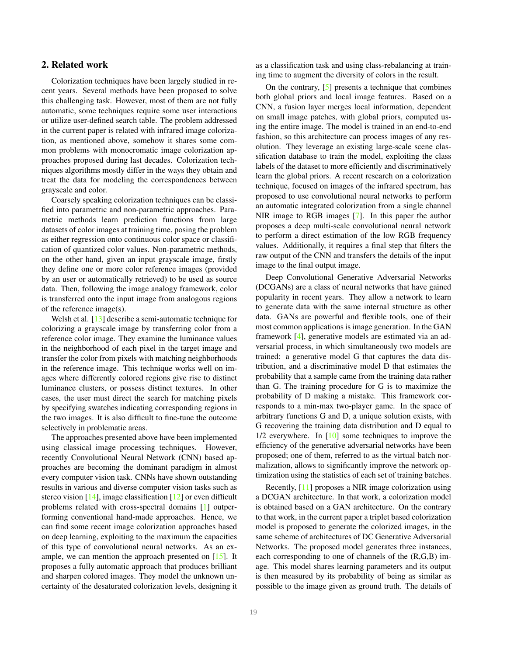### <span id="page-1-1"></span><span id="page-1-0"></span>2. Related work

Colorization techniques have been largely studied in recent years. Several methods have been proposed to solve this challenging task. However, most of them are not fully automatic, some techniques require some user interactions or utilize user-defined search table. The problem addressed in the current paper is related with infrared image colorization, as mentioned above, somehow it shares some common problems with monocromatic image colorization approaches proposed during last decades. Colorization techniques algorithms mostly differ in the ways they obtain and treat the data for modeling the correspondences between grayscale and color.

Coarsely speaking colorization techniques can be classified into parametric and non-parametric approaches. Parametric methods learn prediction functions from large datasets of color images at training time, posing the problem as either regression onto continuous color space or classification of quantized color values. Non-parametric methods, on the other hand, given an input grayscale image, firstly they define one or more color reference images (provided by an user or automatically retrieved) to be used as source data. Then, following the image analogy framework, color is transferred onto the input image from analogous regions of the reference image(s).

Welsh et al. [\[13\]](#page-5-5) describe a semi-automatic technique for colorizing a grayscale image by transferring color from a reference color image. They examine the luminance values in the neighborhood of each pixel in the target image and transfer the color from pixels with matching neighborhoods in the reference image. This technique works well on images where differently colored regions give rise to distinct luminance clusters, or possess distinct textures. In other cases, the user must direct the search for matching pixels by specifying swatches indicating corresponding regions in the two images. It is also difficult to fine-tune the outcome selectively in problematic areas.

The approaches presented above have been implemented using classical image processing techniques. However, recently Convolutional Neural Network (CNN) based approaches are becoming the dominant paradigm in almost every computer vision task. CNNs have shown outstanding results in various and diverse computer vision tasks such as stereo vision  $[14]$ , image classification  $[12]$  or even difficult problems related with cross-spectral domains [\[1\]](#page-5-8) outperforming conventional hand-made approaches. Hence, we can find some recent image colorization approaches based on deep learning, exploiting to the maximum the capacities of this type of convolutional neural networks. As an example, we can mention the approach presented on  $[15]$ . It proposes a fully automatic approach that produces brilliant and sharpen colored images. They model the unknown uncertainty of the desaturated colorization levels, designing it as a classification task and using class-rebalancing at training time to augment the diversity of colors in the result.

On the contrary, [\[5\]](#page-5-9) presents a technique that combines both global priors and local image features. Based on a CNN, a fusion layer merges local information, dependent on small image patches, with global priors, computed using the entire image. The model is trained in an end-to-end fashion, so this architecture can process images of any resolution. They leverage an existing large-scale scene classification database to train the model, exploiting the class labels of the dataset to more efficiently and discriminatively learn the global priors. A recent research on a colorization technique, focused on images of the infrared spectrum, has proposed to use convolutional neural networks to perform an automatic integrated colorization from a single channel NIR image to RGB images [\[7\]](#page-5-10). In this paper the author proposes a deep multi-scale convolutional neural network to perform a direct estimation of the low RGB frequency values. Additionally, it requires a final step that filters the raw output of the CNN and transfers the details of the input image to the final output image.

Deep Convolutional Generative Adversarial Networks (DCGANs) are a class of neural networks that have gained popularity in recent years. They allow a network to learn to generate data with the same internal structure as other data. GANs are powerful and flexible tools, one of their most common applications is image generation. In the GAN framework [\[4\]](#page-5-11), generative models are estimated via an adversarial process, in which simultaneously two models are trained: a generative model G that captures the data distribution, and a discriminative model D that estimates the probability that a sample came from the training data rather than G. The training procedure for G is to maximize the probability of D making a mistake. This framework corresponds to a min-max two-player game. In the space of arbitrary functions G and D, a unique solution exists, with G recovering the training data distribution and D equal to 1/2 everywhere. In [\[10\]](#page-5-12) some techniques to improve the efficiency of the generative adversarial networks have been proposed; one of them, referred to as the virtual batch normalization, allows to significantly improve the network optimization using the statistics of each set of training batches.

Recently, [\[11\]](#page-5-13) proposes a NIR image colorization using a DCGAN architecture. In that work, a colorization model is obtained based on a GAN architecture. On the contrary to that work, in the current paper a triplet based colorization model is proposed to generate the colorized images, in the same scheme of architectures of DC Generative Adversarial Networks. The proposed model generates three instances, each corresponding to one of channels of the (R,G,B) image. This model shares learning parameters and its output is then measured by its probability of being as similar as possible to the image given as ground truth. The details of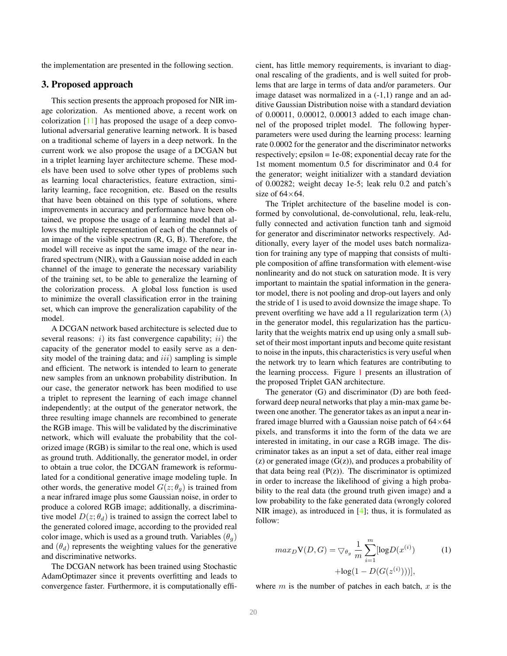<span id="page-2-1"></span>the implementation are presented in the following section.

#### <span id="page-2-0"></span>3. Proposed approach

This section presents the approach proposed for NIR image colorization. As mentioned above, a recent work on colorization [\[11\]](#page-5-13) has proposed the usage of a deep convolutional adversarial generative learning network. It is based on a traditional scheme of layers in a deep network. In the current work we also propose the usage of a DCGAN but in a triplet learning layer architecture scheme. These models have been used to solve other types of problems such as learning local characteristics, feature extraction, similarity learning, face recognition, etc. Based on the results that have been obtained on this type of solutions, where improvements in accuracy and performance have been obtained, we propose the usage of a learning model that allows the multiple representation of each of the channels of an image of the visible spectrum (R, G, B). Therefore, the model will receive as input the same image of the near infrared spectrum (NIR), with a Gaussian noise added in each channel of the image to generate the necessary variability of the training set, to be able to generalize the learning of the colorization process. A global loss function is used to minimize the overall classification error in the training set, which can improve the generalization capability of the model.

A DCGAN network based architecture is selected due to several reasons: *i*) its fast convergence capability; *ii*) the capacity of the generator model to easily serve as a density model of the training data; and  $iii)$  sampling is simple and efficient. The network is intended to learn to generate new samples from an unknown probability distribution. In our case, the generator network has been modified to use a triplet to represent the learning of each image channel independently; at the output of the generator network, the three resulting image channels are recombined to generate the RGB image. This will be validated by the discriminative network, which will evaluate the probability that the colorized image (RGB) is similar to the real one, which is used as ground truth. Additionally, the generator model, in order to obtain a true color, the DCGAN framework is reformulated for a conditional generative image modeling tuple. In other words, the generative model  $G(z; \theta_g)$  is trained from a near infrared image plus some Gaussian noise, in order to produce a colored RGB image; additionally, a discriminative model  $D(z; \theta_d)$  is trained to assign the correct label to the generated colored image, according to the provided real color image, which is used as a ground truth. Variables  $(\theta_q)$ and  $(\theta_d)$  represents the weighting values for the generative and discriminative networks.

The DCGAN network has been trained using Stochastic AdamOptimazer since it prevents overfitting and leads to convergence faster. Furthermore, it is computationally efficient, has little memory requirements, is invariant to diagonal rescaling of the gradients, and is well suited for problems that are large in terms of data and/or parameters. Our image dataset was normalized in a (-1,1) range and an additive Gaussian Distribution noise with a standard deviation of 0.00011, 0.00012, 0.00013 added to each image channel of the proposed triplet model. The following hyperparameters were used during the learning process: learning rate 0.0002 for the generator and the discriminator networks respectively; epsilon = 1e-08; exponential decay rate for the 1st moment momentum 0.5 for discriminator and 0.4 for the generator; weight initializer with a standard deviation of 0.00282; weight decay 1e-5; leak relu 0.2 and patch's size of  $64\times64$ .

The Triplet architecture of the baseline model is conformed by convolutional, de-convolutional, relu, leak-relu, fully connected and activation function tanh and sigmoid for generator and discriminator networks respectively. Additionally, every layer of the model uses batch normalization for training any type of mapping that consists of multiple composition of affine transformation with element-wise nonlinearity and do not stuck on saturation mode. It is very important to maintain the spatial information in the generator model, there is not pooling and drop-out layers and only the stride of 1 is used to avoid downsize the image shape. To prevent overfiting we have add a l1 regularization term  $(\lambda)$ in the generator model, this regularization has the particularity that the weights matrix end up using only a small subset of their most important inputs and become quite resistant to noise in the inputs, this characteristics is very useful when the network try to learn which features are contributing to the learning proccess. Figure [1](#page-3-1) presents an illustration of the proposed Triplet GAN architecture.

The generator (G) and discriminator (D) are both feedforward deep neural networks that play a min-max game between one another. The generator takes as an input a near infrared image blurred with a Gaussian noise patch of  $64\times64$ pixels, and transforms it into the form of the data we are interested in imitating, in our case a RGB image. The discriminator takes as an input a set of data, either real image (z) or generated image  $(G(z))$ , and produces a probability of that data being real  $(P(z))$ . The discriminator is optimized in order to increase the likelihood of giving a high probability to the real data (the ground truth given image) and a low probability to the fake generated data (wrongly colored NIR image), as introduced in [\[4\]](#page-5-11); thus, it is formulated as follow:

$$
max_D V(D, G) = \bigtriangledown_{\theta_g} \frac{1}{m} \sum_{i=1}^{m} [log D(x^{(i)}) \tag{1}
$$

$$
+ log(1 - D(G(z^{(i)})))],
$$

where  $m$  is the number of patches in each batch,  $x$  is the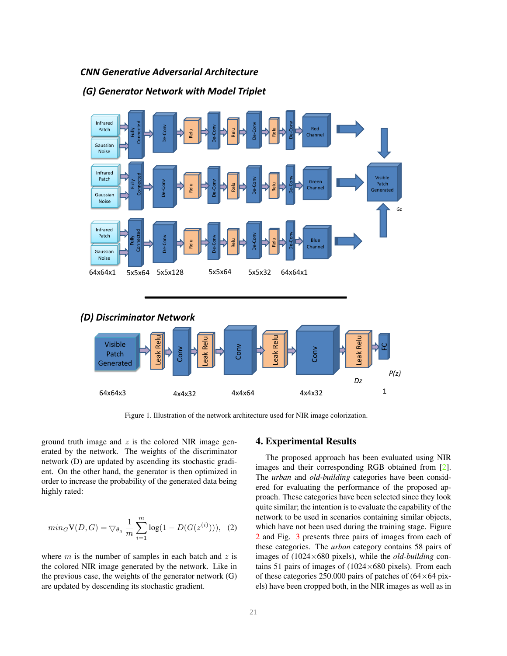## <span id="page-3-2"></span>*CNN Generative Adversarial Architecture*

# *(G) Generator Network with Model Triplet*





<span id="page-3-1"></span>Figure 1. Illustration of the network architecture used for NIR image colorization.

ground truth image and  $z$  is the colored NIR image generated by the network. The weights of the discriminator network (D) are updated by ascending its stochastic gradient. On the other hand, the generator is then optimized in order to increase the probability of the generated data being highly rated:

$$
min_G V(D, G) = \bigtriangledown_{\theta_g} \frac{1}{m} \sum_{i=1}^{m} \log(1 - D(G(z^{(i)}))), \quad (2)
$$

where  $m$  is the number of samples in each batch and  $z$  is the colored NIR image generated by the network. Like in the previous case, the weights of the generator network (G) are updated by descending its stochastic gradient.

### <span id="page-3-0"></span>4. Experimental Results

The proposed approach has been evaluated using NIR images and their corresponding RGB obtained from [\[2\]](#page-5-14). The *urban* and *old-building* categories have been considered for evaluating the performance of the proposed approach. These categories have been selected since they look quite similar; the intention is to evaluate the capability of the network to be used in scenarios containing similar objects, which have not been used during the training stage. Figure [2](#page-4-1) and Fig. [3](#page-4-2) presents three pairs of images from each of these categories. The *urban* category contains 58 pairs of images of (1024×680 pixels), while the *old-building* contains 51 pairs of images of  $(1024\times680$  pixels). From each of these categories 250.000 pairs of patches of  $(64 \times 64 \text{ pix}$ els) have been cropped both, in the NIR images as well as in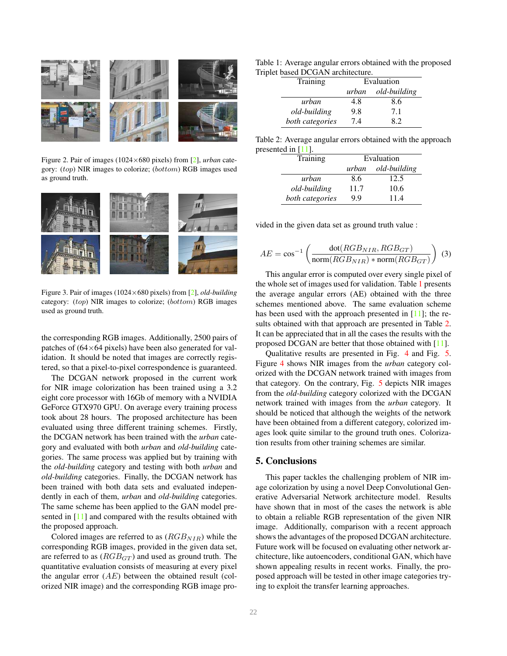<span id="page-4-5"></span>

<span id="page-4-1"></span>Figure 2. Pair of images (1024×680 pixels) from [\[2\]](#page-5-14), *urban* category: (top) NIR images to colorize; (bottom) RGB images used as ground truth.



Figure 3. Pair of images (1024×680 pixels) from [\[2\]](#page-5-14), *old-building* category: (top) NIR images to colorize; (bottom) RGB images used as ground truth.

<span id="page-4-2"></span>the corresponding RGB images. Additionally, 2500 pairs of patches of  $(64\times64$  pixels) have been also generated for validation. It should be noted that images are correctly registered, so that a pixel-to-pixel correspondence is guaranteed.

The DCGAN network proposed in the current work for NIR image colorization has been trained using a 3.2 eight core processor with 16Gb of memory with a NVIDIA GeForce GTX970 GPU. On average every training process took about 28 hours. The proposed architecture has been evaluated using three different training schemes. Firstly, the DCGAN network has been trained with the *urban* category and evaluated with both *urban* and *old-building* categories. The same process was applied but by training with the *old-building* category and testing with both *urban* and *old-building* categories. Finally, the DCGAN network has been trained with both data sets and evaluated independently in each of them, *urban* and *old-building* categories. The same scheme has been applied to the GAN model pre-sented in [\[11\]](#page-5-13) and compared with the results obtained with the proposed approach.

Colored images are referred to as  $(RGB<sub>NIR</sub>)$  while the corresponding RGB images, provided in the given data set, are referred to as  $(RGB_{GT})$  and used as ground truth. The quantitative evaluation consists of measuring at every pixel the angular error  $(AE)$  between the obtained result (colorized NIR image) and the corresponding RGB image pro-

<span id="page-4-3"></span>Table 1: Average angular errors obtained with the proposed Triplet based DCGAN architecture.

| Training        | Evaluation |              |
|-----------------|------------|--------------|
|                 | urban      | old-building |
| urban           | 4.8        | 8.6          |
| old-building    | 9.8        | 7.1          |
| both categories | 74         | 82           |

<span id="page-4-4"></span>Table 2: Average angular errors obtained with the approach presented in [\[11\]](#page-5-13).

| Training        | Evaluation |              |
|-----------------|------------|--------------|
|                 | urban      | old-building |
| urban           | 8.6        | 12.5         |
| old-building    | 11.7       | 10.6         |
| both categories | 9.9        | 11.4         |

vided in the given data set as ground truth value :

$$
AE = \cos^{-1}\left(\frac{\det(RGB_{NIR}, RGB_{GT})}{\text{norm}(RGB_{NIR}) * \text{norm}(RGB_{GT})}\right)
$$
 (3)

This angular error is computed over every single pixel of the whole set of images used for validation. Table [1](#page-4-3) presents the average angular errors (AE) obtained with the three schemes mentioned above. The same evaluation scheme has been used with the approach presented in [\[11\]](#page-5-13); the re-sults obtained with that approach are presented in Table [2.](#page-4-4) It can be appreciated that in all the cases the results with the proposed DCGAN are better that those obtained with [\[11\]](#page-5-13).

Qualitative results are presented in Fig. [4](#page-5-15) and Fig. [5.](#page-5-16) Figure [4](#page-5-15) shows NIR images from the *urban* category colorized with the DCGAN network trained with images from that category. On the contrary, Fig. [5](#page-5-16) depicts NIR images from the *old-building* category colorized with the DCGAN network trained with images from the *urban* category. It should be noticed that although the weights of the network have been obtained from a different category, colorized images look quite similar to the ground truth ones. Colorization results from other training schemes are similar.

### <span id="page-4-0"></span>5. Conclusions

This paper tackles the challenging problem of NIR image colorization by using a novel Deep Convolutional Generative Adversarial Network architecture model. Results have shown that in most of the cases the network is able to obtain a reliable RGB representation of the given NIR image. Additionally, comparison with a recent approach shows the advantages of the proposed DCGAN architecture. Future work will be focused on evaluating other network architecture, like autoencoders, conditional GAN, which have shown appealing results in recent works. Finally, the proposed approach will be tested in other image categories trying to exploit the transfer learning approaches.